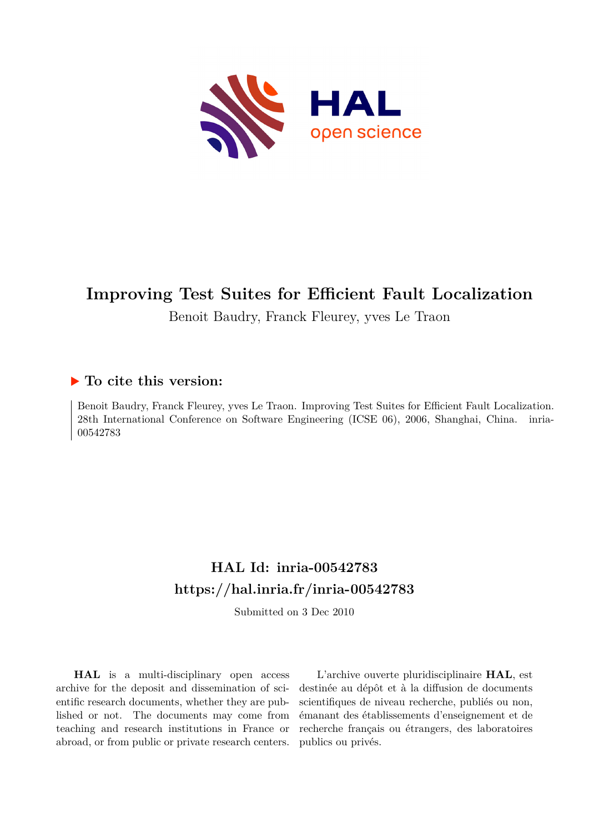

# **Improving Test Suites for Efficient Fault Localization**

Benoit Baudry, Franck Fleurey, yves Le Traon

# **To cite this version:**

Benoit Baudry, Franck Fleurey, yves Le Traon. Improving Test Suites for Efficient Fault Localization. 28th International Conference on Software Engineering (ICSE 06), 2006, Shanghai, China. inria-00542783ff

# **HAL Id: inria-00542783 <https://hal.inria.fr/inria-00542783>**

Submitted on 3 Dec 2010

**HAL** is a multi-disciplinary open access archive for the deposit and dissemination of scientific research documents, whether they are published or not. The documents may come from teaching and research institutions in France or abroad, or from public or private research centers.

L'archive ouverte pluridisciplinaire **HAL**, est destinée au dépôt et à la diffusion de documents scientifiques de niveau recherche, publiés ou non, émanant des établissements d'enseignement et de recherche français ou étrangers, des laboratoires publics ou privés.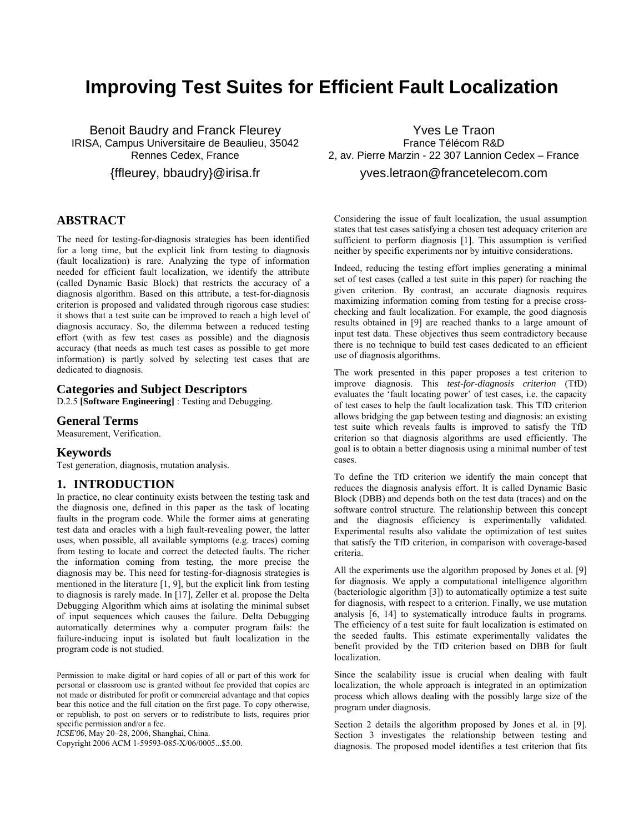# **Improving Test Suites for Efficient Fault Localization**

Benoit Baudry and Franck Fleurey IRISA, Campus Universitaire de Beaulieu, 35042 Rennes Cedex, France

{ffleurey, bbaudry}@irisa.fr

# **ABSTRACT**

The need for testing-for-diagnosis strategies has been identified for a long time, but the explicit link from testing to diagnosis (fault localization) is rare. Analyzing the type of information needed for efficient fault localization, we identify the attribute (called Dynamic Basic Block) that restricts the accuracy of a diagnosis algorithm. Based on this attribute, a test-for-diagnosis criterion is proposed and validated through rigorous case studies: it shows that a test suite can be improved to reach a high level of diagnosis accuracy. So, the dilemma between a reduced testing effort (with as few test cases as possible) and the diagnosis accuracy (that needs as much test cases as possible to get more information) is partly solved by selecting test cases that are dedicated to diagnosis.

# **Categories and Subject Descriptors**

D.2.5 **[Software Engineering]** : Testing and Debugging.

## **General Terms**

Measurement, Verification.

## **Keywords**

Test generation, diagnosis, mutation analysis.

## **1. INTRODUCTION**

In practice, no clear continuity exists between the testing task and the diagnosis one, defined in this paper as the task of locating faults in the program code. While the former aims at generating test data and oracles with a high fault-revealing power, the latter uses, when possible, all available symptoms (e.g. traces) coming from testing to locate and correct the detected faults. The richer the information coming from testing, the more precise the diagnosis may be. This need for testing-for-diagnosis strategies is mentioned in the literature [1, 9], but the explicit link from testing to diagnosis is rarely made. In [17], Zeller et al. propose the Delta Debugging Algorithm which aims at isolating the minimal subset of input sequences which causes the failure. Delta Debugging automatically determines why a computer program fails: the failure-inducing input is isolated but fault localization in the program code is not studied.

Permission to make digital or hard copies of all or part of this work for personal or classroom use is granted without fee provided that copies are not made or distributed for profit or commercial advantage and that copies bear this notice and the full citation on the first page. To copy otherwise, or republish, to post on servers or to redistribute to lists, requires prior specific permission and/or a fee.

*ICSE'06*, May 20–28, 2006, Shanghai, China.

Copyright 2006 ACM 1-59593-085-X/06/0005...\$5.00.

Yves Le Traon France Télécom R&D 2, av. Pierre Marzin - 22 307 Lannion Cedex – France [yves.letraon@francetelecom.com](mailto:yves.letraon@francetelecom.com)

Considering the issue of fault localization, the usual assumption states that test cases satisfying a chosen test adequacy criterion are sufficient to perform diagnosis [1]. This assumption is verified neither by specific experiments nor by intuitive considerations.

Indeed, reducing the testing effort implies generating a minimal set of test cases (called a test suite in this paper) for reaching the given criterion. By contrast, an accurate diagnosis requires maximizing information coming from testing for a precise crosschecking and fault localization. For example, the good diagnosis results obtained in [9] are reached thanks to a large amount of input test data. These objectives thus seem contradictory because there is no technique to build test cases dedicated to an efficient use of diagnosis algorithms.

The work presented in this paper proposes a test criterion to improve diagnosis. This *test-for-diagnosis criterion* (TfD) evaluates the 'fault locating power' of test cases, i.e. the capacity of test cases to help the fault localization task. This TfD criterion allows bridging the gap between testing and diagnosis: an existing test suite which reveals faults is improved to satisfy the TfD criterion so that diagnosis algorithms are used efficiently. The goal is to obtain a better diagnosis using a minimal number of test cases.

To define the TfD criterion we identify the main concept that reduces the diagnosis analysis effort. It is called Dynamic Basic Block (DBB) and depends both on the test data (traces) and on the software control structure. The relationship between this concept and the diagnosis efficiency is experimentally validated. Experimental results also validate the optimization of test suites that satisfy the TfD criterion, in comparison with coverage-based criteria.

All the experiments use the algorithm proposed by Jones et al. [9] for diagnosis. We apply a computational intelligence algorithm (bacteriologic algorithm [3]) to automatically optimize a test suite for diagnosis, with respect to a criterion. Finally, we use mutation analysis [6, 14] to systematically introduce faults in programs. The efficiency of a test suite for fault localization is estimated on the seeded faults. This estimate experimentally validates the benefit provided by the TfD criterion based on DBB for fault localization.

Since the scalability issue is crucial when dealing with fault localization, the whole approach is integrated in an optimization process which allows dealing with the possibly large size of the program under diagnosis.

Section 2 details the algorithm proposed by Jones et al. in [9]. Section 3 investigates the relationship between testing and diagnosis. The proposed model identifies a test criterion that fits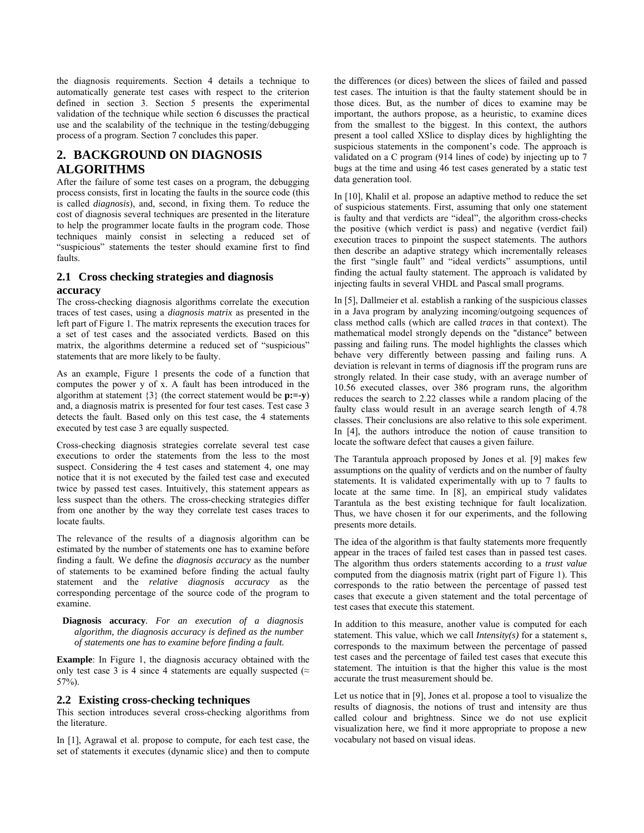the diagnosis requirements. Section 4 details a technique to automatically generate test cases with respect to the criterion defined in section 3. Section 5 presents the experimental validation of the technique while section 6 discusses the practical use and the scalability of the technique in the testing/debugging process of a program. Section 7 concludes this paper.

# **2. BACKGROUND ON DIAGNOSIS ALGORITHMS**

After the failure of some test cases on a program, the debugging process consists, first in locating the faults in the source code (this is called *diagnosis*), and, second, in fixing them. To reduce the cost of diagnosis several techniques are presented in the literature to help the programmer locate faults in the program code. Those techniques mainly consist in selecting a reduced set of "suspicious" statements the tester should examine first to find faults.

# **2.1 Cross checking strategies and diagnosis accuracy**

The cross-checking diagnosis algorithms correlate the execution traces of test cases, using a *diagnosis matrix* as presented in the left part of [Figure 1.](#page-3-0) The matrix represents the execution traces for a set of test cases and the associated verdicts. Based on this matrix, the algorithms determine a reduced set of "suspicious" statements that are more likely to be faulty.

As an example, [Figure 1](#page-3-0) presents the code of a function that computes the power y of x. A fault has been introduced in the algorithm at statement {3} (the correct statement would be **p:=-y**) and, a diagnosis matrix is presented for four test cases. Test case 3 detects the fault. Based only on this test case, the 4 statements executed by test case 3 are equally suspected.

Cross-checking diagnosis strategies correlate several test case executions to order the statements from the less to the most suspect. Considering the 4 test cases and statement 4, one may notice that it is not executed by the failed test case and executed twice by passed test cases. Intuitively, this statement appears as less suspect than the others. The cross-checking strategies differ from one another by the way they correlate test cases traces to locate faults.

The relevance of the results of a diagnosis algorithm can be estimated by the number of statements one has to examine before finding a fault. We define the *diagnosis accuracy* as the number of statements to be examined before finding the actual faulty statement and the *relative diagnosis accuracy* as the corresponding percentage of the source code of the program to examine.

**Diagnosis accuracy***. For an execution of a diagnosis algorithm, the diagnosis accuracy is defined as the number of statements one has to examine before finding a fault.* 

**Example**: In [Figure 1,](#page-3-0) the diagnosis accuracy obtained with the only test case 3 is 4 since 4 statements are equally suspected ( $\approx$ 57%).

## **2.2 Existing cross-checking techniques**

This section introduces several cross-checking algorithms from the literature.

In [1], Agrawal et al. propose to compute, for each test case, the set of statements it executes (dynamic slice) and then to compute the differences (or dices) between the slices of failed and passed test cases. The intuition is that the faulty statement should be in those dices. But, as the number of dices to examine may be important, the authors propose, as a heuristic, to examine dices from the smallest to the biggest. In this context, the authors present a tool called XSlice to display dices by highlighting the suspicious statements in the component's code. The approach is validated on a C program (914 lines of code) by injecting up to 7 bugs at the time and using 46 test cases generated by a static test data generation tool.

In [10], Khalil et al. propose an adaptive method to reduce the set of suspicious statements. First, assuming that only one statement is faulty and that verdicts are "ideal", the algorithm cross-checks the positive (which verdict is pass) and negative (verdict fail) execution traces to pinpoint the suspect statements. The authors then describe an adaptive strategy which incrementally releases the first "single fault" and "ideal verdicts" assumptions, until finding the actual faulty statement. The approach is validated by injecting faults in several VHDL and Pascal small programs.

In [5], Dallmeier et al. establish a ranking of the suspicious classes in a Java program by analyzing incoming/outgoing sequences of class method calls (which are called *traces* in that context). The mathematical model strongly depends on the "distance" between passing and failing runs. The model highlights the classes which behave very differently between passing and failing runs. A deviation is relevant in terms of diagnosis iff the program runs are strongly related. In their case study, with an average number of 10.56 executed classes, over 386 program runs, the algorithm reduces the search to 2.22 classes while a random placing of the faulty class would result in an average search length of 4.78 classes. Their conclusions are also relative to this sole experiment. In [4], the authors introduce the notion of cause transition to locate the software defect that causes a given failure.

The Tarantula approach proposed by Jones et al. [9] makes few assumptions on the quality of verdicts and on the number of faulty statements. It is validated experimentally with up to 7 faults to locate at the same time. In [8], an empirical study validates Tarantula as the best existing technique for fault localization. Thus, we have chosen it for our experiments, and the following presents more details.

The idea of the algorithm is that faulty statements more frequently appear in the traces of failed test cases than in passed test cases. The algorithm thus orders statements according to a *trust value* computed from the diagnosis matrix (right part of [Figure 1\)](#page-3-0). This corresponds to the ratio between the percentage of passed test cases that execute a given statement and the total percentage of test cases that execute this statement.

In addition to this measure, another value is computed for each statement. This value, which we call *Intensity(s)* for a statement s, corresponds to the maximum between the percentage of passed test cases and the percentage of failed test cases that execute this statement. The intuition is that the higher this value is the most accurate the trust measurement should be.

Let us notice that in [9], Jones et al. propose a tool to visualize the results of diagnosis, the notions of trust and intensity are thus called colour and brightness. Since we do not use explicit visualization here, we find it more appropriate to propose a new vocabulary not based on visual ideas.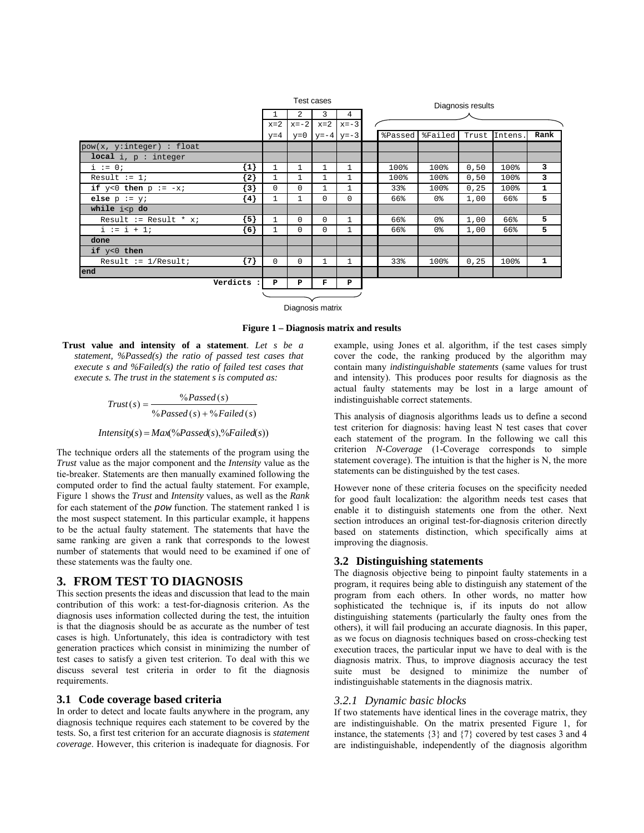<span id="page-3-0"></span>

|                             |            | Test cases   |                |          |                     | Diagnosis results |         |                |       |               |      |
|-----------------------------|------------|--------------|----------------|----------|---------------------|-------------------|---------|----------------|-------|---------------|------|
|                             |            |              | $\overline{a}$ | 3        | 4                   |                   |         |                |       |               |      |
|                             |            | $x=2$        | $x=-2$         | $x=2$    | $x=-3$              |                   |         |                |       |               |      |
|                             |            | $y=4$        |                |          | $y=0$ $y=-4$ $y=-3$ |                   | %Passed | %Failed        |       | Trust Intens. | Rank |
| pow(x, y:integer) : float   |            |              |                |          |                     |                   |         |                |       |               |      |
| local i, $p :$ integer      |            |              |                |          |                     |                   |         |                |       |               |      |
| $i := 0;$                   | $\{1\}$    | $\mathbf 1$  | $\mathbf{1}$   |          | $\mathbf{1}$        |                   | 100%    | 100%           | 0,50  | 100%          | 3    |
| Result := $1$ ;             | '2}        | $\mathbf{1}$ | $\mathbf{1}$   |          | $\mathbf{1}$        |                   | 100%    | 100%           | 0,50  | 100%          | 3    |
| if $y < 0$ then $p := -x$ ; | '3}        | $\mathbf 0$  | $\Omega$       |          | $\mathbf{1}$        |                   | 33%     | 100%           | 0, 25 | 100%          | 1    |
| else $p := y$ ;             | '4 }       | 1            |                | $\Omega$ | $\Omega$            |                   | 66%     | 0 <sup>8</sup> | 1,00  | 66%           | 5    |
| while $i < p$ do            |            |              |                |          |                     |                   |         |                |       |               |      |
| Result := Result * $x$ ;    | ՝5}        | $\mathbf{1}$ | $\Omega$       | $\Omega$ | 1                   |                   | 66%     | 0 <sup>8</sup> | 1,00  | 66%           | 5    |
| $i := i + 1i$               | 【6】        | $\mathbf{1}$ | $\Omega$       | $\Omega$ | 1                   |                   | 66%     | 0 %            | 1,00  | 66%           | 5    |
| done                        |            |              |                |          |                     |                   |         |                |       |               |      |
| if $y < 0$ then             |            |              |                |          |                     |                   |         |                |       |               |      |
| Result := $1/Result$ ;      | ${7}$      | $\Omega$     | $\Omega$       |          |                     |                   | 33%     | 100%           | 0, 25 | 100%          | 1    |
| end                         |            |              |                |          |                     |                   |         |                |       |               |      |
|                             | Verdicts : | $\mathbf{P}$ | P              | F        | P                   |                   |         |                |       |               |      |
|                             |            |              |                |          |                     |                   |         |                |       |               |      |

Diagnosis matrix

#### **Figure 1 – Diagnosis matrix and results**

**Trust value and intensity of a statement**. *Let s be a statement, %Passed(s) the ratio of passed test cases that execute s and %Failed(s) the ratio of failed test cases that execute s. The trust in the statement s is computed as:* 

$$
Trust(s) = \frac{\%Passed(s)}{\%Passed(s) + \%False(s)}
$$

 $Intensity(s) = Max\%P*associated(s)*$ ,  $\%Failed(s)$ 

The technique orders all the statements of the program using the *Trust* value as the major component and the *Intensity* value as the tie-breaker. Statements are then manually examined following the computed order to find the actual faulty statement. For example, [Figure 1](#page-3-0) shows the *Trust* and *Intensity* values, as well as the *Rank* for each statement of the *pow* function. The statement ranked 1 is the most suspect statement. In this particular example, it happens to be the actual faulty statement. The statements that have the same ranking are given a rank that corresponds to the lowest number of statements that would need to be examined if one of these statements was the faulty one.

## **3. FROM TEST TO DIAGNOSIS**

This section presents the ideas and discussion that lead to the main contribution of this work: a test-for-diagnosis criterion. As the diagnosis uses information collected during the test, the intuition is that the diagnosis should be as accurate as the number of test cases is high. Unfortunately, this idea is contradictory with test generation practices which consist in minimizing the number of test cases to satisfy a given test criterion. To deal with this we discuss several test criteria in order to fit the diagnosis requirements.

## **3.1 Code coverage based criteria**

In order to detect and locate faults anywhere in the program, any diagnosis technique requires each statement to be covered by the tests. So, a first test criterion for an accurate diagnosis is *statement coverage*. However, this criterion is inadequate for diagnosis. For example, using Jones et al. algorithm, if the test cases simply cover the code, the ranking produced by the algorithm may contain many *indistinguishable statements* (same values for trust and intensity). This produces poor results for diagnosis as the actual faulty statements may be lost in a large amount of indistinguishable correct statements.

This analysis of diagnosis algorithms leads us to define a second test criterion for diagnosis: having least N test cases that cover each statement of the program. In the following we call this criterion *N-Coverage* (1-Coverage corresponds to simple statement coverage). The intuition is that the higher is N, the more statements can be distinguished by the test cases.

However none of these criteria focuses on the specificity needed for good fault localization: the algorithm needs test cases that enable it to distinguish statements one from the other. Next section introduces an original test-for-diagnosis criterion directly based on statements distinction, which specifically aims at improving the diagnosis.

## <span id="page-3-1"></span>**3.2 Distinguishing statements**

The diagnosis objective being to pinpoint faulty statements in a program, it requires being able to distinguish any statement of the program from each others. In other words, no matter how sophisticated the technique is, if its inputs do not allow distinguishing statements (particularly the faulty ones from the others), it will fail producing an accurate diagnosis. In this paper, as we focus on diagnosis techniques based on cross-checking test execution traces, the particular input we have to deal with is the diagnosis matrix. Thus, to improve diagnosis accuracy the test suite must be designed to minimize the number of indistinguishable statements in the diagnosis matrix.

## *3.2.1 Dynamic basic blocks*

If two statements have identical lines in the coverage matrix, they are indistinguishable. On the matrix presented [Figure 1,](#page-3-0) for instance, the statements {3} and {7} covered by test cases 3 and 4 are indistinguishable, independently of the diagnosis algorithm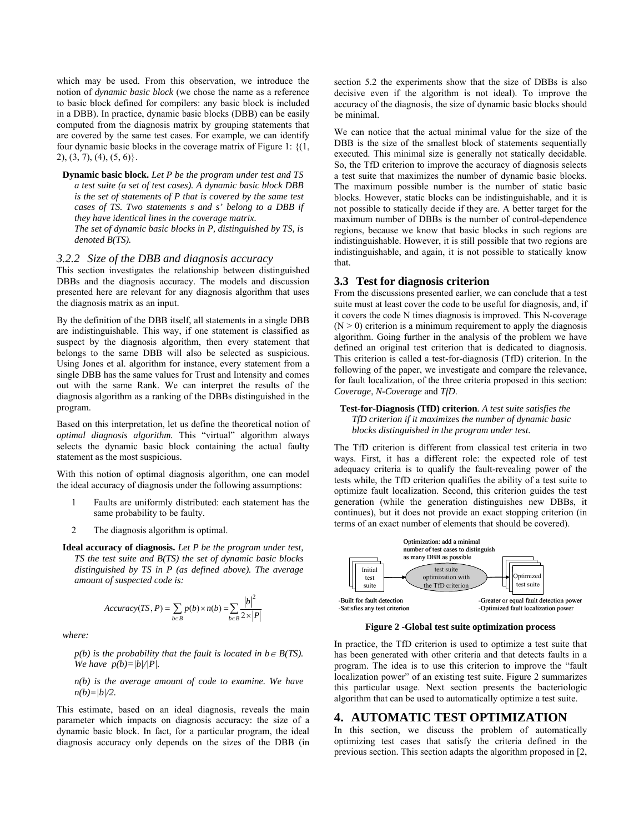which may be used. From this observation, we introduce the notion of *dynamic basic block* (we chose the name as a reference to basic block defined for compilers: any basic block is included in a DBB). In practice, dynamic basic blocks (DBB) can be easily computed from the diagnosis matrix by grouping statements that are covered by the same test cases. For example, we can identify four dynamic basic blocks in the coverage matrix of [Figure 1:](#page-3-0) {(1,  $2$ ),  $(3, 7)$ ,  $(4)$ ,  $(5, 6)$ .

**Dynamic basic block.** *Let P be the program under test and TS a test suite (a set of test cases). A dynamic basic block DBB is the set of statements of P that is covered by the same test cases of TS. Two statements s and s' belong to a DBB if they have identical lines in the coverage matrix. The set of dynamic basic blocks in P, distinguished by TS, is denoted B(TS).*

## *3.2.2 Size of the DBB and diagnosis accuracy*

This section investigates the relationship between distinguished DBBs and the diagnosis accuracy. The models and discussion presented here are relevant for any diagnosis algorithm that uses the diagnosis matrix as an input.

By the definition of the DBB itself, all statements in a single DBB are indistinguishable. This way, if one statement is classified as suspect by the diagnosis algorithm, then every statement that belongs to the same DBB will also be selected as suspicious. Using Jones et al. algorithm for instance, every statement from a single DBB has the same values for Trust and Intensity and comes out with the same Rank. We can interpret the results of the diagnosis algorithm as a ranking of the DBBs distinguished in the program.

Based on this interpretation, let us define the theoretical notion of *optimal diagnosis algorithm.* This "virtual" algorithm always selects the dynamic basic block containing the actual faulty statement as the most suspicious.

With this notion of optimal diagnosis algorithm, one can model the ideal accuracy of diagnosis under the following assumptions:

- 1 Faults are uniformly distributed: each statement has the same probability to be faulty.
- 2 The diagnosis algorithm is optimal.
- **Ideal accuracy of diagnosis.** *Let P be the program under test, TS the test suite and B(TS) the set of dynamic basic blocks distinguished by TS in P (as defined above). The average amount of suspected code is:*

$$
Accuracy(TS, P) = \sum_{b \in B} p(b) \times n(b) = \sum_{b \in B} \frac{|b|^2}{2 \times |P|}
$$

*where:* 

*p(b)* is the probability that the fault is located in  $b \in B(TS)$ . *We have*  $p(b)=|b|/|P|$ *.* 

*n(b) is the average amount of code to examine. We have n(b)=|b|/2.* 

This estimate, based on an ideal diagnosis, reveals the main parameter which impacts on diagnosis accuracy: the size of a dynamic basic block. In fact, for a particular program, the ideal diagnosis accuracy only depends on the sizes of the DBB (in section [5.2](#page-6-0) the experiments show that the size of DBBs is also decisive even if the algorithm is not ideal). To improve the accuracy of the diagnosis, the size of dynamic basic blocks should be minimal.

We can notice that the actual minimal value for the size of the DBB is the size of the smallest block of statements sequentially executed. This minimal size is generally not statically decidable. So, the TfD criterion to improve the accuracy of diagnosis selects a test suite that maximizes the number of dynamic basic blocks. The maximum possible number is the number of static basic blocks. However, static blocks can be indistinguishable, and it is not possible to statically decide if they are. A better target for the maximum number of DBBs is the number of control-dependence regions, because we know that basic blocks in such regions are indistinguishable. However, it is still possible that two regions are indistinguishable, and again, it is not possible to statically know that.

#### **3.3 Test for diagnosis criterion**

From the discussions presented earlier, we can conclude that a test suite must at least cover the code to be useful for diagnosis, and, if it covers the code N times diagnosis is improved. This N-coverage  $(N > 0)$  criterion is a minimum requirement to apply the diagnosis algorithm. Going further in the analysis of the problem we have defined an original test criterion that is dedicated to diagnosis. This criterion is called a test-for-diagnosis (TfD) criterion. In the following of the paper, we investigate and compare the relevance, for fault localization, of the three criteria proposed in this section: *Coverage*, *N-Coverage* and *TfD*.

**Test-for-Diagnosis (TfD) criterion***. A test suite satisfies the TfD criterion if it maximizes the number of dynamic basic blocks distinguished in the program under test.* 

The TfD criterion is different from classical test criteria in two ways. First, it has a different role: the expected role of test adequacy criteria is to qualify the fault-revealing power of the tests while, the TfD criterion qualifies the ability of a test suite to optimize fault localization. Second, this criterion guides the test generation (while the generation distinguishes new DBBs, it continues), but it does not provide an exact stopping criterion (in terms of an exact number of elements that should be covered).

<span id="page-4-0"></span>

**Figure 2 -Global test suite optimization process** 

In practice, the TfD criterion is used to optimize a test suite that has been generated with other criteria and that detects faults in a program. The idea is to use this criterion to improve the "fault localization power" of an existing test suite. [Figure 2](#page-4-0) summarizes this particular usage. Next section presents the bacteriologic algorithm that can be used to automatically optimize a test suite.

# **4. AUTOMATIC TEST OPTIMIZATION**

In this section, we discuss the problem of automatically optimizing test cases that satisfy the criteria defined in the previous section. This section adapts the algorithm proposed in [2,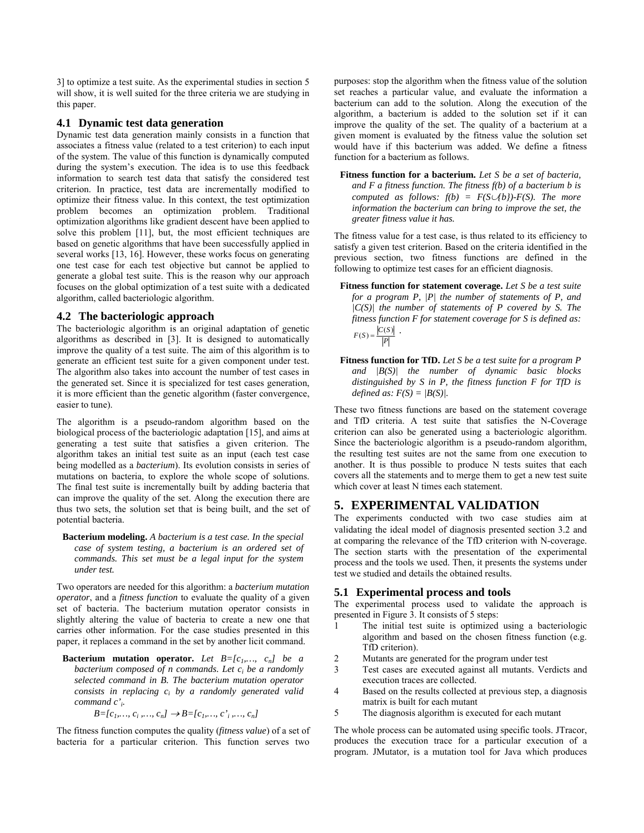3] to optimize a test suite. As the experimental studies in section [5](#page-5-0)  will show, it is well suited for the three criteria we are studying in this paper.

#### **4.1 Dynamic test data generation**

Dynamic test data generation mainly consists in a function that associates a fitness value (related to a test criterion) to each input of the system. The value of this function is dynamically computed during the system's execution. The idea is to use this feedback information to search test data that satisfy the considered test criterion. In practice, test data are incrementally modified to optimize their fitness value. In this context, the test optimization problem becomes an optimization problem. Traditional optimization algorithms like gradient descent have been applied to solve this problem [11], but, the most efficient techniques are based on genetic algorithms that have been successfully applied in several works [13, 16]. However, these works focus on generating one test case for each test objective but cannot be applied to generate a global test suite. This is the reason why our approach focuses on the global optimization of a test suite with a dedicated algorithm, called bacteriologic algorithm.

#### <span id="page-5-1"></span>**4.2 The bacteriologic approach**

The bacteriologic algorithm is an original adaptation of genetic algorithms as described in [3]. It is designed to automatically improve the quality of a test suite. The aim of this algorithm is to generate an efficient test suite for a given component under test. The algorithm also takes into account the number of test cases in the generated set. Since it is specialized for test cases generation, it is more efficient than the genetic algorithm (faster convergence, easier to tune).

The algorithm is a pseudo-random algorithm based on the biological process of the bacteriologic adaptation [15], and aims at generating a test suite that satisfies a given criterion. The algorithm takes an initial test suite as an input (each test case being modelled as a *bacterium*). Its evolution consists in series of mutations on bacteria, to explore the whole scope of solutions. The final test suite is incrementally built by adding bacteria that can improve the quality of the set. Along the execution there are thus two sets, the solution set that is being built, and the set of potential bacteria.

**Bacterium modeling.** *A bacterium is a test case. In the special case of system testing, a bacterium is an ordered set of commands. This set must be a legal input for the system under test.* 

Two operators are needed for this algorithm: a *bacterium mutation operator*, and a *fitness function* to evaluate the quality of a given set of bacteria. The bacterium mutation operator consists in slightly altering the value of bacteria to create a new one that carries other information. For the case studies presented in this paper, it replaces a command in the set by another licit command.

**Bacterium mutation operator.** Let  $B = [c_1, ..., c_n]$  be a *bacterium composed of n commands. Let ci be a randomly selected command in B. The bacterium mutation operator consists in replacing ci by a randomly generated valid command c'i.* 

$$
B = [c_1, ..., c_i, ..., c_n] \rightarrow B = [c_1, ..., c'_i, ..., c_n]
$$

The fitness function computes the quality (*fitness value*) of a set of bacteria for a particular criterion. This function serves two

purposes: stop the algorithm when the fitness value of the solution set reaches a particular value, and evaluate the information a bacterium can add to the solution. Along the execution of the algorithm, a bacterium is added to the solution set if it can improve the quality of the set. The quality of a bacterium at a given moment is evaluated by the fitness value the solution set would have if this bacterium was added. We define a fitness function for a bacterium as follows.

**Fitness function for a bacterium.** *Let S be a set of bacteria, and F a fitness function. The fitness f(b) of a bacterium b is computed as follows:*  $f(b) = F(S \cup \{b\}) - F(S)$ . The more *information the bacterium can bring to improve the set, the greater fitness value it has.* 

The fitness value for a test case, is thus related to its efficiency to satisfy a given test criterion. Based on the criteria identified in the previous section, two fitness functions are defined in the following to optimize test cases for an efficient diagnosis.

- **Fitness function for statement coverage.** *Let S be a test suite for a program P, |P| the number of statements of P, and |C(S)| the number of statements of P covered by S. The fitness function F for statement coverage for S is defined as: P*  $F(S) = \frac{|C(S)|}{|S|}$ .
- **Fitness function for TfD.** *Let S be a test suite for a program P and |B(S)| the number of dynamic basic blocks distinguished by S in P, the fitness function F for TfD is defined as:*  $F(S) = \frac{B(S)}{S}$ .

These two fitness functions are based on the statement coverage and TfD criteria. A test suite that satisfies the N-Coverage criterion can also be generated using a bacteriologic algorithm. Since the bacteriologic algorithm is a pseudo-random algorithm, the resulting test suites are not the same from one execution to another. It is thus possible to produce N tests suites that each covers all the statements and to merge them to get a new test suite which cover at least N times each statement.

## <span id="page-5-0"></span>**5. EXPERIMENTAL VALIDATION**

The experiments conducted with two case studies aim at validating the ideal model of diagnosis presented section [3.2](#page-3-1) and at comparing the relevance of the TfD criterion with N-coverage. The section starts with the presentation of the experimental process and the tools we used. Then, it presents the systems under test we studied and details the obtained results.

## **5.1 Experimental process and tools**

The experimental process used to validate the approach is presented in [Figure 3.](#page-6-1) It consists of 5 steps:

- 1 The initial test suite is optimized using a bacteriologic algorithm and based on the chosen fitness function (e.g. TfD criterion).
- 2 Mutants are generated for the program under test
- 3 Test cases are executed against all mutants. Verdicts and execution traces are collected.
- 4 Based on the results collected at previous step, a diagnosis matrix is built for each mutant
- 5 The diagnosis algorithm is executed for each mutant

The whole process can be automated using specific tools. JTracor, produces the execution trace for a particular execution of a program. JMutator, is a mutation tool for Java which produces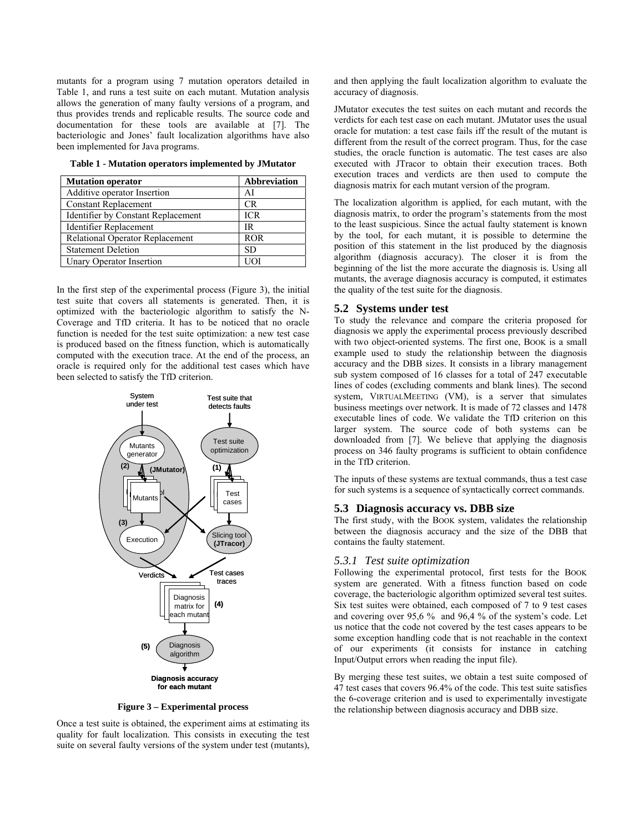mutants for a program using 7 mutation operators detailed in Table 1, and runs a test suite on each mutant. Mutation analysis [allows th](#page-6-2)e generation of many faulty versions of a program, and thus provides trends and replicable results. The source code and documentation for these tools are available at [7]. The bacteriologic and Jones' fault localization algorithms have also been implemented for Java programs.

<span id="page-6-2"></span>

| Table 1 - Mutation operators implemented by JMutator |  |  |  |
|------------------------------------------------------|--|--|--|
|------------------------------------------------------|--|--|--|

| <b>Mutation operator</b>               | <b>Abbreviation</b> |
|----------------------------------------|---------------------|
| Additive operator Insertion            | ΑI                  |
| <b>Constant Replacement</b>            | CR.                 |
| Identifier by Constant Replacement     | <b>ICR</b>          |
| Identifier Replacement                 | IR                  |
| <b>Relational Operator Replacement</b> | <b>ROR</b>          |
| <b>Statement Deletion</b>              | SD                  |
| Unary Operator Insertion               | ו הז                |

In the first step of the experimental process (Figure 3), the initial test suite that covers all statements is ge[nerated. T](#page-6-1)hen, it is optimized with the bacteriologic algorithm to satisfy the N-Coverage and TfD criteria. It has to be noticed that no oracle function is needed for the test suite optimization: a new test case is produced based on the fitness function, which is automatically computed with the execution trace. At the end of the process, an oracle is required only for the additional test cases which have been selected to satisfy the TfD criterion.

<span id="page-6-1"></span>

**Figure 3 – Experimental process** 

Once a test suite is obtained, the experiment aims at estimating its quality for fault localization. This consists in executing the test suite on several faulty versions of the system under test (mutants), and then applying the fault localization algorithm to evaluate the accuracy of diagnosis.

JMutator executes the test suites on each mutant and records the verdicts for each test case on each mutant. JMutator uses the usual oracle for mutation: a test case fails iff the result of the mutant is different from the result of the correct program. Thus, for the case studies, the oracle function is automatic. The test cases are also executed with JTracor to obtain their execution traces. Both execution traces and verdicts are then used to compute the diagnosis matrix for each mutant version of the program.

The localization algorithm is applied, for each mutant, with the diagnosis matrix, to order the program's statements from the most to the least suspicious. Since the actual faulty statement is known by the tool, for each mutant, it is possible to determine the position of this statement in the list produced by the diagnosis algorithm (diagnosis accuracy). The closer it is from the beginning of the list the more accurate the diagnosis is. Using all mutants, the average diagnosis accuracy is computed, it estimates the quality of the test suite for the diagnosis.

### **5.2 Systems under test**

<span id="page-6-0"></span>To study the relevance and compare the criteria proposed for diagnosis we apply the experimental process previously described with two object-oriented systems. The first one, BOOK is a small example used to study the relationship between the diagnosis accuracy and the DBB sizes. It consists in a library management sub system composed of 16 classes for a total of 247 executable lines of codes (excluding comments and blank lines). The second system, VIRTUALMEETING (VM), is a server that simulates business meetings over network. It is made of 72 classes and 1478 executable lines of code. We validate the TfD criterion on this larger system. The source code of both systems can be downloaded from [7]. We believe that applying the diagnosis process on 346 faulty programs is sufficient to obtain confidence in the TfD criterion.

The inputs of these systems are textual commands, thus a test case for such systems is a sequence of syntactically correct commands.

### **5.3 Diagnosis accuracy vs. DBB size**

The first study, with the BOOK system, validates the relationship between the diagnosis accuracy and the size of the DBB that contains the faulty statement.

### *5.3.1 Test suite optimization*

Following the experimental protocol, first tests for the BOOK system are generated. With a fitness function based on code coverage, the bacteriologic algorithm optimized several test suites. Six test suites were obtained, each composed of 7 to 9 test cases and covering over 95,6 % and 96,4 % of the system's code. Let us notice that the code not covered by the test cases appears to be some exception handling code that is not reachable in the context of our experiments (it consists for instance in catching Input/Output errors when reading the input file).

By merging these test suites, we obtain a test suite composed of 47 test cases that covers 96.4% of the code. This test suite satisfies the 6-coverage criterion and is used to experimentally investigate the relationship between diagnosis accuracy and DBB size.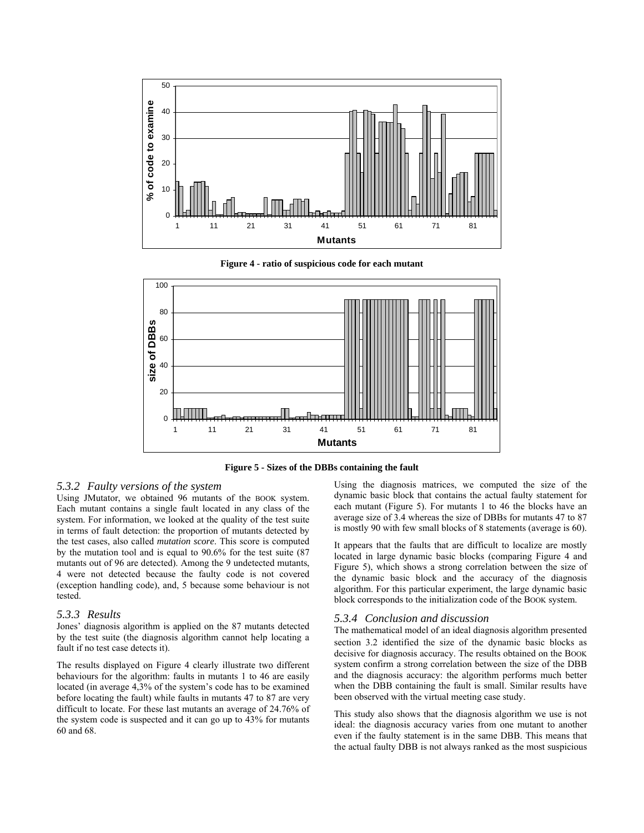<span id="page-7-0"></span>

<span id="page-7-1"></span>**Figure 4 - ratio of suspicious code for each mutant**



**Figure 5 - Sizes of the DBBs containing the fault** 

## *5.3.2 Faulty versions of the system*

Using JMutator, we obtained 96 mutants of the BOOK system. Each mutant contains a single fault located in any class of the system. For information, we looked at the quality of the test suite in terms of fault detection: the proportion of mutants detected by the test cases, also called *mutation score*. This score is computed by the mutation tool and is equal to 90.6% for the test suite (87 mutants out of 96 are detected). Among the 9 undetected mutants, 4 were not detected because the faulty code is not covered (exception handling code), and, 5 because some behaviour is not tested.

#### *5.3.3 Results*

Jones' diagnosis algorithm is applied on the 87 mutants detected by the test suite (the diagnosis algorithm cannot help locating a fault if no test case detects it).

The results displayed on [Figure 4](#page-7-0) clearly illustrate two different behaviours for the algorithm: faults in mutants 1 to 46 are easily located (in average 4,3% of the system's code has to be examined before locating the fault) while faults in mutants 47 to 87 are very difficult to locate. For these last mutants an average of 24.76% of the system code is suspected and it can go up to 43% for mutants 60 and 68.

Using the diagnosis matrices, we computed the size of the dynamic basic block that contains the actual faulty statement for each mutant ([Figure 5\)](#page-7-1). For mutants 1 to 46 the blocks have an average size of 3.4 whereas the size of DBBs for mutants 47 to 87 is mostly 90 with few small blocks of 8 statements (average is 60).

It appears that the faults that are difficult to localize are mostly located in large dynamic basic blocks (comparing [Figure 4](#page-7-0) and [Figure 5\)](#page-7-1), which shows a strong correlation between the size of the dynamic basic block and the accuracy of the diagnosis algorithm. For this particular experiment, the large dynamic basic block corresponds to the initialization code of the BOOK system.

#### *5.3.4 Conclusion and discussion*

The mathematical model of an ideal diagnosis algorithm presented section [3.2](#page-3-1) identified the size of the dynamic basic blocks as decisive for diagnosis accuracy. The results obtained on the BOOK system confirm a strong correlation between the size of the DBB and the diagnosis accuracy: the algorithm performs much better when the DBB containing the fault is small. Similar results have been observed with the virtual meeting case study.

This study also shows that the diagnosis algorithm we use is not ideal: the diagnosis accuracy varies from one mutant to another even if the faulty statement is in the same DBB. This means that the actual faulty DBB is not always ranked as the most suspicious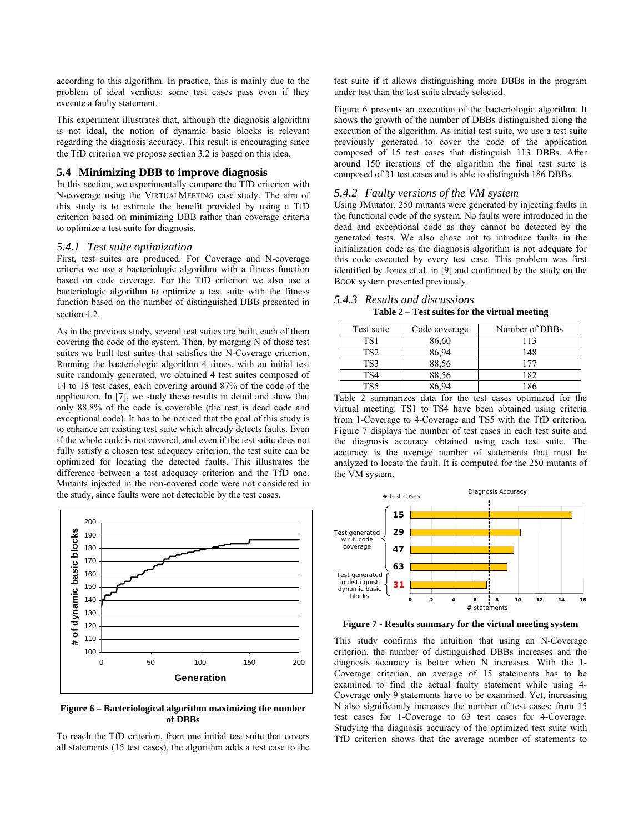according to this algorithm. In practice, this is mainly due to the problem of ideal verdicts: some test cases pass even if they execute a faulty statement.

This experiment illustrates that, although the diagnosis algorithm is not ideal, the notion of dynamic basic blocks is relevant regarding the diagnosis accuracy. This result is encouraging since the TfD criterion we propose section [3.2 i](#page-3-1)s based on this idea.

## **5.4 Minimizing DBB to improve diagnosis**

In this section, we experimentally compare the TfD criterion with N-coverage using the VIRTUALMEETING case study. The aim of this study is to estimate the benefit provided by using a TfD criterion based on minimizing DBB rather than coverage criteria to optimize a test suite for diagnosis.

#### *5.4.1 Test suite optimization*

First, test suites are produced. For Coverage and N-coverage criteria we use a bacteriologic algorithm with a fitness function based on code coverage. For the TfD criterion we also use a bacteriologic algorithm to optimize a test suite with the fitness function based on the number of distinguished DBB presented in section [4.2.](#page-5-1)

As in the previous study, several test suites are built, each of them covering the code of the system. Then, by merging N of those test suites we built test suites that satisfies the N-Coverage criterion. Running the bacteriologic algorithm 4 times, with an initial test suite randomly generated, we obtained 4 test suites composed of 14 to 18 test cases, each covering around 87% of the code of the application. In [7], we study these results in detail and show that only 88.8% of the code is coverable (the rest is dead code and exceptional code). It has to be noticed that the goal of this study is to enhance an existing test suite which already detects faults. Even if the whole code is not covered, and even if the test suite does not fully satisfy a chosen test adequacy criterion, the test suite can be optimized for locating the detected faults. This illustrates the difference between a test adequacy criterion and the TfD one. Mutants injected in the non-covered code were not considered in the study, since faults were not detectable by the test cases.

<span id="page-8-0"></span>

#### **Figure 6 – Bacteriological algorithm maximizing the number of DBBs**

To reach the TfD criterion, from one initial test suite that covers all statements (15 test cases), the algorithm adds a test case to the test suite if it allows distinguishing more DBBs in the program under test than the test suite already selected.

[Figure 6](#page-8-0) presents an execution of the bacteriologic algorithm. It shows the growth of the number of DBBs distinguished along the execution of the algorithm. As initial test suite, we use a test suite previously generated to cover the code of the application composed of 15 test cases that distinguish 113 DBBs. After around 150 iterations of the algorithm the final test suite is composed of 31 test cases and is able to distinguish 186 DBBs.

#### *5.4.2 Faulty versions of the VM system*

Using JMutator, 250 mutants were generated by injecting faults in the functional code of the system. No faults were introduced in the dead and exceptional code as they cannot be detected by the generated tests. We also chose not to introduce faults in the initialization code as the diagnosis algorithm is not adequate for this code executed by every test case. This problem was first identified by Jones et al. in [9] and confirmed by the study on the BOOK system presented previously.

## *5.4.3 Results and discussions*  **Table 2 – Test suites for the virtual meeting**

<span id="page-8-1"></span>

| Test suite      | Code coverage | Number of DBBs |
|-----------------|---------------|----------------|
| TS1             | 86,60         | 113            |
| TS <sub>2</sub> | 86,94         | 148            |
| TS3             | 88,56         | 171            |
| TS4             | 88,56         | 182            |
| TS5             |               |                |

[Table 2](#page-8-1) summarizes data for the test cases optimized for the virtual meeting. TS1 to TS4 have been obtained using criteria from 1-Coverage to 4-Coverage and TS5 with the TfD criterion. [Figure 7](#page-8-2) displays the number of test cases in each test suite and the diagnosis accuracy obtained using each test suite. The accuracy is the average number of statements that must be analyzed to locate the fault. It is computed for the 250 mutants of the VM system.

<span id="page-8-2"></span>

**Figure 7 - Results summary for the virtual meeting system** 

This study confirms the intuition that using an N-Coverage criterion, the number of distinguished DBBs increases and the diagnosis accuracy is better when N increases. With the 1- Coverage criterion, an average of 15 statements has to be examined to find the actual faulty statement while using 4- Coverage only 9 statements have to be examined. Yet, increasing N also significantly increases the number of test cases: from 15 test cases for 1-Coverage to 63 test cases for 4-Coverage. Studying the diagnosis accuracy of the optimized test suite with TfD criterion shows that the average number of statements to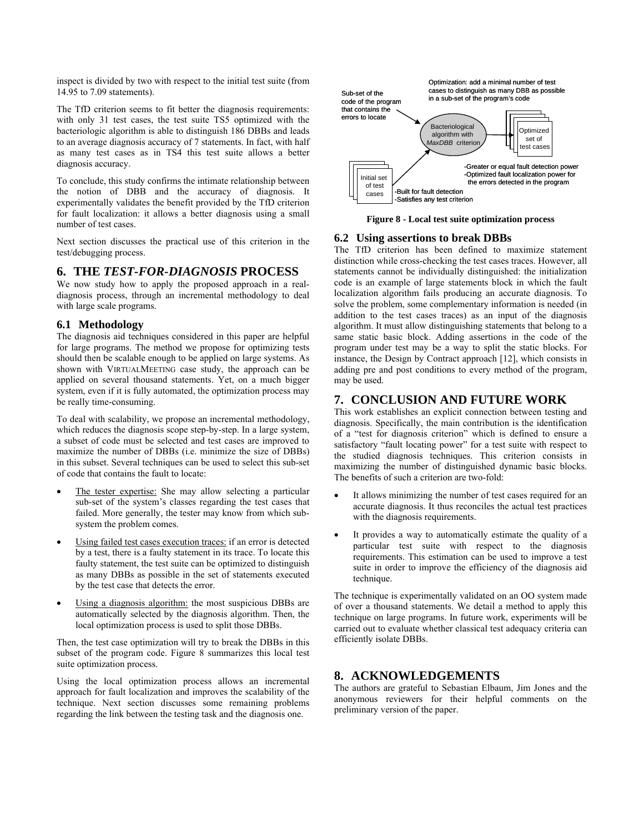inspect is divided by two with respect to the initial test suite (from 14.95 to 7.09 statements).

The TfD criterion seems to fit better the diagnosis requirements: with only 31 test cases, the test suite TS5 optimized with the bacteriologic algorithm is able to distinguish 186 DBBs and leads to an average diagnosis accuracy of 7 statements. In fact, with half as many test cases as in TS4 this test suite allows a better diagnosis accuracy.

To conclude, this study confirms the intimate relationship between the notion of DBB and the accuracy of diagnosis. It experimentally validates the benefit provided by the TfD criterion for fault localization: it allows a better diagnosis using a small number of test cases.

Next section discusses the practical use of this criterion in the test/debugging process.

## **6. THE** *TEST-FOR-DIAGNOSIS* **PROCESS**

We now study how to apply the proposed approach in a realdiagnosis process, through an incremental methodology to deal with large scale programs.

## **6.1 Methodology**

The diagnosis aid techniques considered in this paper are helpful for large programs. The method we propose for optimizing tests should then be scalable enough to be applied on large systems. As shown with VIRTUALMEETING case study, the approach can be applied on several thousand statements. Yet, on a much bigger system, even if it is fully automated, the optimization process may be really time-consuming.

To deal with scalability, we propose an incremental methodology, which reduces the diagnosis scope step-by-step. In a large system, a subset of code must be selected and test cases are improved to maximize the number of DBBs (i.e. minimize the size of DBBs) in this subset. Several techniques can be used to select this sub-set of code that contains the fault to locate:

- The tester expertise: She may allow selecting a particular sub-set of the system's classes regarding the test cases that failed. More generally, the tester may know from which subsystem the problem comes.
- Using failed test cases execution traces: if an error is detected by a test, there is a faulty statement in its trace. To locate this faulty statement, the test suite can be optimized to distinguish as many DBBs as possible in the set of statements executed by the test case that detects the error.
- Using a diagnosis algorithm: the most suspicious DBBs are automatically selected by the diagnosis algorithm. Then, the local optimization process is used to split those DBBs.

Then, the test case optimization will try to break the DBBs in this subset of the program code. [Figure 8](#page-9-0) summarizes this local test suite optimization process.

Using the local optimization process allows an incremental approach for fault localization and improves the scalability of the technique. Next section discusses some remaining problems regarding the link between the testing task and the diagnosis one.

<span id="page-9-0"></span>

**Figure 8 - Local test suite optimization process** 

## **6.2 Using assertions to break DBBs**

The TfD criterion has been defined to maximize statement distinction while cross-checking the test cases traces. However, all statements cannot be individually distinguished: the initialization code is an example of large statements block in which the fault localization algorithm fails producing an accurate diagnosis. To solve the problem, some complementary information is needed (in addition to the test cases traces) as an input of the diagnosis algorithm. It must allow distinguishing statements that belong to a same static basic block. Adding assertions in the code of the program under test may be a way to split the static blocks. For instance, the Design by Contract approach [12], which consists in adding pre and post conditions to every method of the program, may be used.

# **7. CONCLUSION AND FUTURE WORK**

This work establishes an explicit connection between testing and diagnosis. Specifically, the main contribution is the identification of a "test for diagnosis criterion" which is defined to ensure a satisfactory "fault locating power" for a test suite with respect to the studied diagnosis techniques. This criterion consists in maximizing the number of distinguished dynamic basic blocks. The benefits of such a criterion are two-fold:

- It allows minimizing the number of test cases required for an accurate diagnosis. It thus reconciles the actual test practices with the diagnosis requirements.
- It provides a way to automatically estimate the quality of a particular test suite with respect to the diagnosis requirements. This estimation can be used to improve a test suite in order to improve the efficiency of the diagnosis aid technique.

The technique is experimentally validated on an OO system made of over a thousand statements. We detail a method to apply this technique on large programs. In future work, experiments will be carried out to evaluate whether classical test adequacy criteria can efficiently isolate DBBs.

# **8. ACKNOWLEDGEMENTS**

The authors are grateful to Sebastian Elbaum, Jim Jones and the anonymous reviewers for their helpful comments on the preliminary version of the paper.